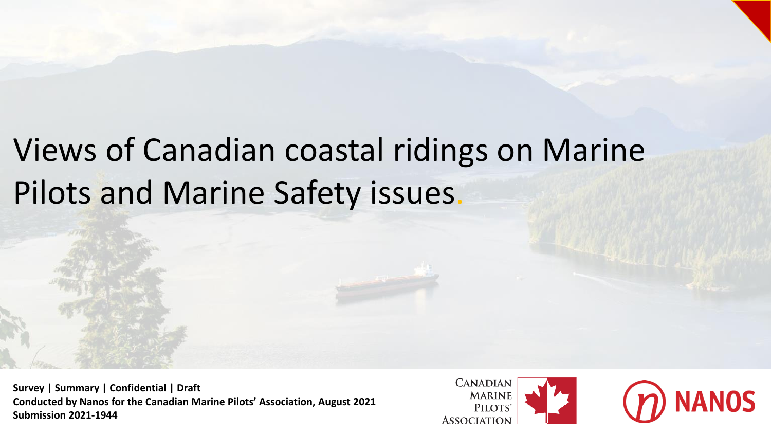# Views of Canadian coastal ridings on Marine Pilots and Marine Safety issues.

**Survey | Summary | Confidential | Draft Conducted by Nanos for the Canadian Marine Pilots' Association, August 2021 Submission 2021-1944**

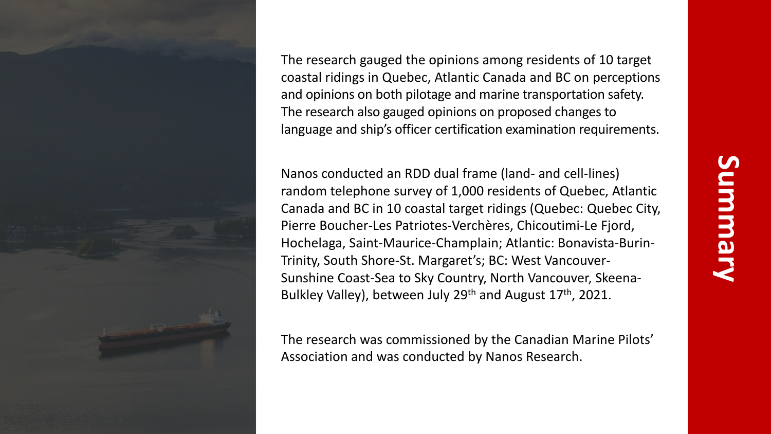

The research gauged the opinions among residents of 10 target coastal ridings in Quebec, Atlantic Canada and BC on perceptions and opinions on both pilotage and marine transportation safety. The research also gauged opinions on proposed changes to language and ship's officer certification examination requirements.

Nanos conducted an RDD dual frame (land- and cell-lines) random telephone survey of 1,000 residents of Quebec, Atlantic Canada and BC in 10 coastal target ridings (Quebec: Quebec City, Pierre Boucher-Les Patriotes-Verchères, Chicoutimi-Le Fjord, Hochelaga, Saint-Maurice-Champlain; Atlantic: Bonavista-Burin-Trinity, South Shore-St. Margaret's; BC: West Vancouver-Sunshine Coast-Sea to Sky Country, North Vancouver, Skeena-Bulkley Valley), between July 29<sup>th</sup> and August 17<sup>th</sup>, 2021.

The research was commissioned by the Canadian Marine Pilots' Association and was conducted by Nanos Research.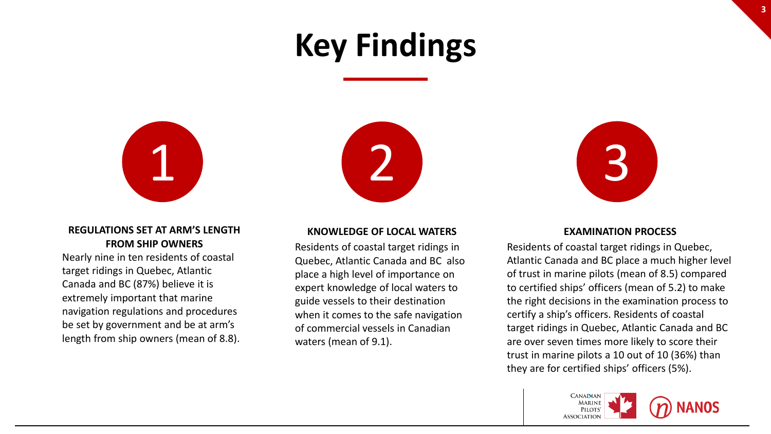# **Key Findings**



### **REGULATIONS SET AT ARM'S LENGTH FROM SHIP OWNERS**

Nearly nine in ten residents of coastal target ridings in Quebec, Atlantic Canada and BC (87%) believe it is extremely important that marine navigation regulations and procedures be set by government and be at arm's length from ship owners (mean of 8.8).





### **KNOWLEDGE OF LOCAL WATERS**

Residents of coastal target ridings in Quebec, Atlantic Canada and BC also place a high level of importance on expert knowledge of local waters to guide vessels to their destination when it comes to the safe navigation of commercial vessels in Canadian waters (mean of 9.1).

### **EXAMINATION PROCESS**

Residents of coastal target ridings in Quebec, Atlantic Canada and BC place a much higher level of trust in marine pilots (mean of 8.5) compared to certified ships' officers (mean of 5.2) to make the right decisions in the examination process to certify a ship's officers. Residents of coastal target ridings in Quebec, Atlantic Canada and BC are over seven times more likely to score their trust in marine pilots a 10 out of 10 (36%) than they are for certified ships' officers (5%).

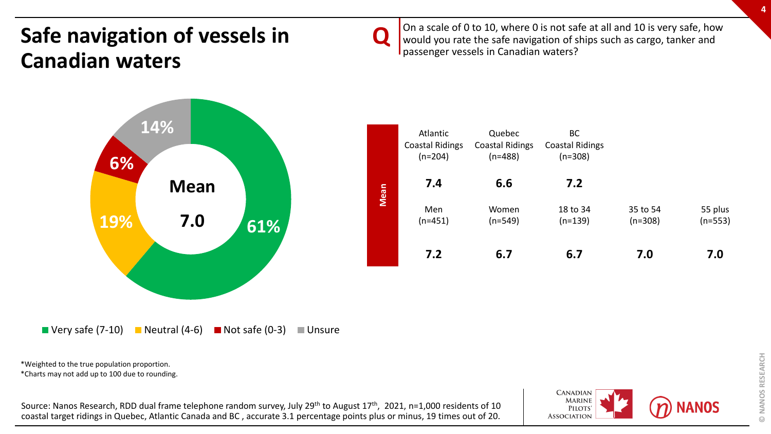## **Safe navigation of vessels in Canadian waters**

**Q**

On a scale of 0 to 10, where 0 is not safe at all and 10 is very safe, how would you rate the safe navigation of ships such as cargo, tanker and passenger vessels in Canadian waters?



 $\blacksquare$  Very safe (7-10)  $\blacksquare$  Neutral (4-6)  $\blacksquare$  Not safe (0-3)  $\blacksquare$  Unsure

\*Weighted to the true population proportion.

\*Charts may not add up to 100 due to rounding.

Source: Nanos Research, RDD dual frame telephone random survey, July 29<sup>th</sup> to August 17<sup>th</sup>, 2021, n=1,000 residents of 10 coastal target ridings in Quebec, Atlantic Canada and BC , accurate 3.1 percentage points plus or minus, 19 times out of 20.

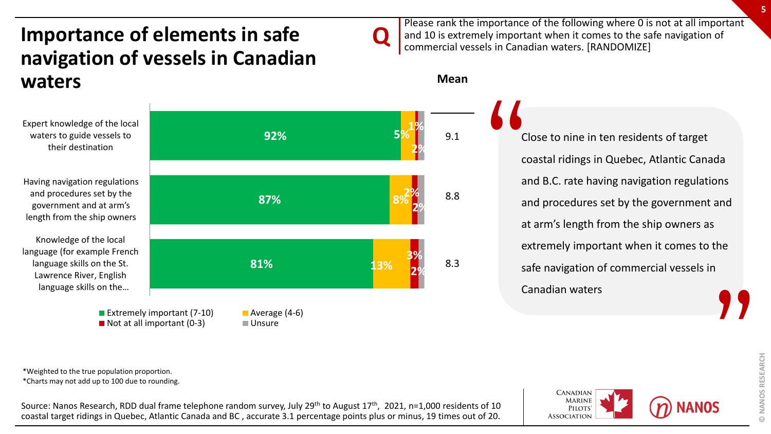### **Importance of elements in safe navigation of vessels in Canadian waters**



Please rank the importance of the following where 0 is not at all important and 10 is extremely important when it comes to the safe navigation of commercial vessels in Canadian waters. [RANDOMIZE]

### **Mean**

**Q**

Close to nine in ten residents of target coastal ridings in Quebec, Atlantic Canada and B.C. rate having navigation regulations and procedures set by the government and at arm's length from the ship owners as extremely important when it comes to the safe navigation of commercial vessels in Canadian waters " **"** 

NANOS RESEARCH **© NANOS RESEARCH**  $\odot$ 

\*Weighted to the true population proportion. \*Charts may not add up to 100 due to rounding.

Source: Nanos Research, RDD dual frame telephone random survey, July 29<sup>th</sup> to August 17<sup>th</sup>, 2021, n=1,000 residents of 10 coastal target ridings in Quebec, Atlantic Canada and BC , accurate 3.1 percentage points plus or minus, 19 times out of 20.

**CANADIAN MARINE PILOTS ASSOCIATION**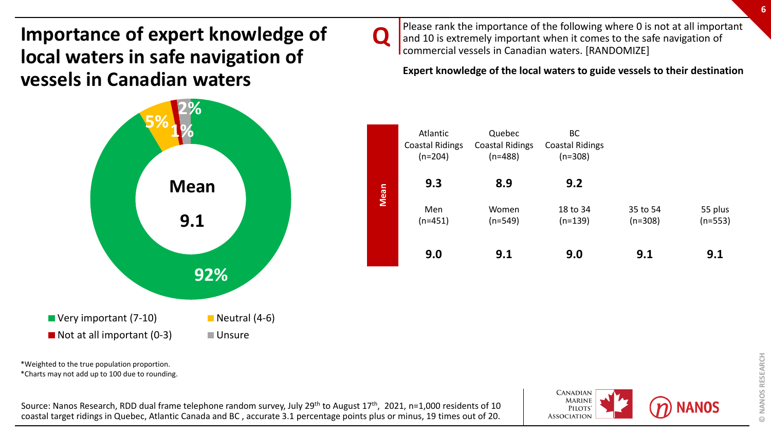**Importance of expert knowledge of local waters in safe navigation of vessels in Canadian waters**

# **92% 5%1% 2%**  $\blacksquare$  Very important (7-10)  $\blacksquare$  Neutral (4-6)  $\blacksquare$  Not at all important (0-3)  $\blacksquare$  Unsure **Mean 9.1**

\*Weighted to the true population proportion.

\*Charts may not add up to 100 due to rounding.

Source: Nanos Research, RDD dual frame telephone random survey, July 29<sup>th</sup> to August 17<sup>th</sup>, 2021, n=1,000 residents of 10 coastal target ridings in Quebec, Atlantic Canada and BC , accurate 3.1 percentage points plus or minus, 19 times out of 20.

**Q**

**CANADIAN MARINE PILOTS ASSOCIATION** 



**6**

Please rank the importance of the following where 0 is not at all important and 10 is extremely important when it comes to the safe navigation of commercial vessels in Canadian waters. [RANDOMIZE]

**Expert knowledge of the local waters to guide vessels to their destination** 

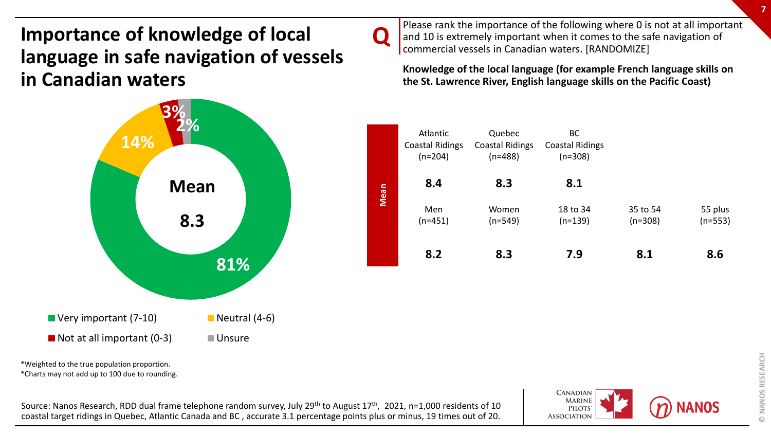### **Importance of knowledge of local language in safe navigation of vessels in Canadian waters**



\*Weighted to the true population proportion.

\*Charts may not add up to 100 due to rounding.

Source: Nanos Research, RDD dual frame telephone random survey, July 29<sup>th</sup> to August 17<sup>th</sup>, 2021, n=1,000 residents of 10 coastal target ridings in Quebec, Atlantic Canada and BC , accurate 3.1 percentage points plus or minus, 19 times out of 20.

**Q**

Please rank the importance of the following where 0 is not at all important and 10 is extremely important when it comes to the safe navigation of commercial vessels in Canadian waters. [RANDOMIZE]

**Knowledge of the local language (for example French language skills on the St. Lawrence River, English language skills on the Pacific Coast)** 

|      | Atlantic<br><b>Coastal Ridings</b><br>$(n=204)$ | Quebec<br><b>Coastal Ridings</b><br>$(n=488)$ | BC<br><b>Coastal Ridings</b><br>$(n=308)$ |                       |                      |
|------|-------------------------------------------------|-----------------------------------------------|-------------------------------------------|-----------------------|----------------------|
| Mean | 8.4                                             | 8.3                                           | 8.1                                       |                       |                      |
|      | Men<br>$(n=451)$                                | Women<br>$(n=549)$                            | 18 to 34<br>$(n=139)$                     | 35 to 54<br>$(n=308)$ | 55 plus<br>$(n=553)$ |
|      | 8.2                                             | 8.3                                           | 7.9                                       | 8.1                   | 8.6                  |

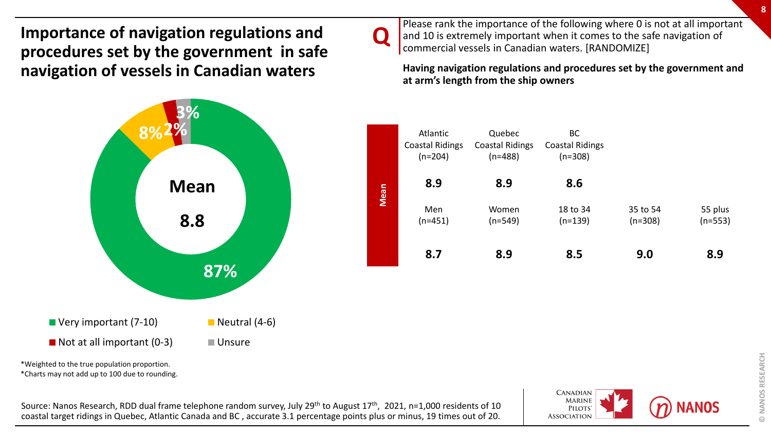**Importance of navigation regulations and procedures set by the government in safe navigation of vessels in Canadian waters**



\*Charts may not add up to 100 due to rounding.

Source: Nanos Research, RDD dual frame telephone random survey, July 29<sup>th</sup> to August 17<sup>th</sup>, 2021, n=1,000 residents of 10 coastal target ridings in Quebec, Atlantic Canada and BC , accurate 3.1 percentage points plus or minus, 19 times out of 20.

**CANADIAN MARINE PILOTS ASSOCIATION** 



**Q**

Please rank the importance of the following where 0 is not at all important and 10 is extremely important when it comes to the safe navigation of commercial vessels in Canadian waters. [RANDOMIZE]

**8.7 8.9 8.5 9.0 8.9**

**8**

55 plus (n=553)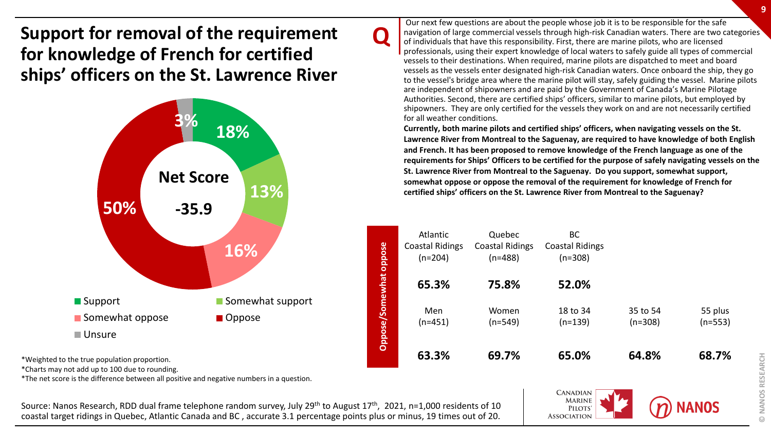**Support for removal of the requirement for knowledge of French for certified ships' officers on the St. Lawrence River** 



\*Weighted to the true population proportion.

\*Charts may not add up to 100 due to rounding.

\*The net score is the difference between all positive and negative numbers in a question.

Source: Nanos Research, RDD dual frame telephone random survey, July 29<sup>th</sup> to August 17<sup>th</sup>, 2021, n=1,000 residents of 10 coastal target ridings in Quebec, Atlantic Canada and BC , accurate 3.1 percentage points plus or minus, 19 times out of 20.

**Q**

Our next few questions are about the people whose job it is to be responsible for the safe navigation of large commercial vessels through high-risk Canadian waters. There are two categories of individuals that have this responsibility. First, there are marine pilots, who are licensed professionals, using their expert knowledge of local waters to safely guide all types of commercial vessels to their destinations. When required, marine pilots are dispatched to meet and board vessels as the vessels enter designated high-risk Canadian waters. Once onboard the ship, they go to the vessel's bridge area where the marine pilot will stay, safely guiding the vessel. Marine pilots are independent of shipowners and are paid by the Government of Canada's Marine Pilotage Authorities. Second, there are certified ships' officers, similar to marine pilots, but employed by shipowners. They are only certified for the vessels they work on and are not necessarily certified for all weather conditions.

**Currently, both marine pilots and certified ships' officers, when navigating vessels on the St. Lawrence River from Montreal to the Saguenay, are required to have knowledge of both English and French. It has been proposed to remove knowledge of the French language as one of the requirements for Ships' Officers to be certified for the purpose of safely navigating vessels on the St. Lawrence River from Montreal to the Saguenay. Do you support, somewhat support, somewhat oppose or oppose the removal of the requirement for knowledge of French for certified ships' officers on the St. Lawrence River from Montreal to the Saguenay?**

|                 | Atlantic               | Quebec                 | ВC                     |           |           |
|-----------------|------------------------|------------------------|------------------------|-----------|-----------|
|                 | <b>Coastal Ridings</b> | <b>Coastal Ridings</b> | <b>Coastal Ridings</b> |           |           |
| oppose          | $(n=204)$              | $(n=488)$              | $(n=308)$              |           |           |
|                 |                        |                        |                        |           |           |
|                 | 65.3%                  | 75.8%                  | 52.0%                  |           |           |
|                 |                        |                        |                        |           |           |
|                 |                        |                        |                        |           |           |
|                 | Men                    | Women                  | 18 to 34               | 35 to 54  | 55 plus   |
|                 | (n=451)                | $(n=549)$              | $(n=139)$              | $(n=308)$ | $(n=553)$ |
| Oppose/Somewhat |                        |                        |                        |           |           |
|                 |                        |                        |                        |           |           |
|                 | 63.3%                  | 69.7%                  | 65.0%                  | 64.8%     | 68.7%     |
|                 |                        |                        |                        |           |           |

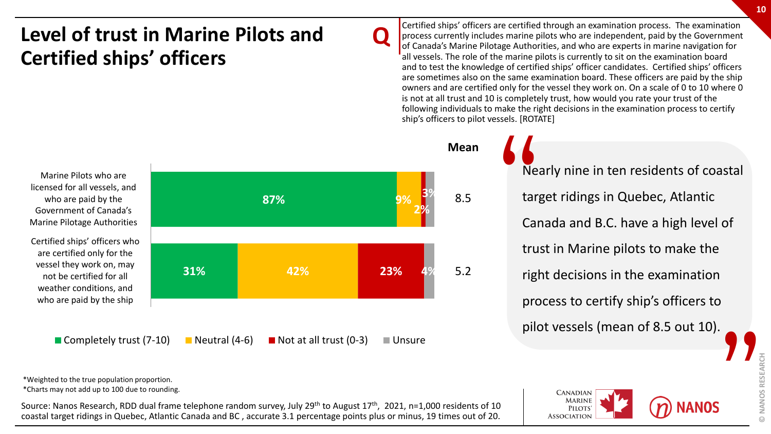## **Level of trust in Marine Pilots and Certified ships' officers**

Marine Pilots who are licensed for all vessels, and who are paid by the Government of Canada's Marine Pilotage Authorities

Certified ships' officers who are certified only for the vessel they work on, may not be certified for all weather conditions, and who are paid by the ship



**Q**

**Mean**

Certified ships' officers are certified through an examination process. The examination process currently includes marine pilots who are independent, paid by the Government of Canada's Marine Pilotage Authorities, and who are experts in marine navigation for all vessels. The role of the marine pilots is currently to sit on the examination board and to test the knowledge of certified ships' officer candidates. Certified ships' officers are sometimes also on the same examination board. These officers are paid by the ship owners and are certified only for the vessel they work on. On a scale of 0 to 10 where 0 is not at all trust and 10 is completely trust, how would you rate your trust of the following individuals to make the right decisions in the examination process to certify ship's officers to pilot vessels. [ROTATE]

Nearly nine in ten residents of coastal target ridings in Quebec, Atlantic Canada and B.C. have a high level of trust in Marine pilots to make the right decisions in the examination process to certify ship's officers to pilot vessels (mean of 8.5 out 10). " **WARDER** 

\*Weighted to the true population proportion. \*Charts may not add up to 100 due to rounding.

Source: Nanos Research, RDD dual frame telephone random survey, July 29<sup>th</sup> to August 17<sup>th</sup>, 2021, n=1,000 residents of 10 coastal target ridings in Quebec, Atlantic Canada and BC , accurate 3.1 percentage points plus or minus, 19 times out of 20.



**© NANOS RESEARCH**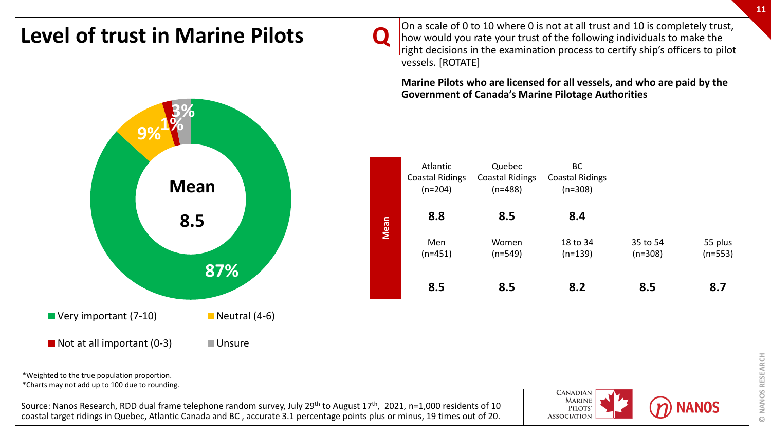

 $\blacksquare$  Not at all important (0-3)  $\blacksquare$  Unsure

\*Weighted to the true population proportion.

\*Charts may not add up to 100 due to rounding.

Source: Nanos Research, RDD dual frame telephone random survey, July 29<sup>th</sup> to August 17<sup>th</sup>, 2021, n=1,000 residents of 10 coastal target ridings in Quebec, Atlantic Canada and BC , accurate 3.1 percentage points plus or minus, 19 times out of 20.

**Q**

**CANADIAN MARINE PILOTS ASSOCIATION** 



On a scale of 0 to 10 where 0 is not at all trust and 10 is completely trust, how would you rate your trust of the following individuals to make the right decisions in the examination process to certify ship's officers to pilot vessels. [ROTATE]

**Marine Pilots who are licensed for all vessels, and who are paid by the Government of Canada's Marine Pilotage Authorities** 

|      | Atlantic<br><b>Coastal Ridings</b><br>$(n=204)$ | Quebec<br><b>Coastal Ridings</b><br>$(n=488)$ | BC<br><b>Coastal Ridings</b><br>$(n=308)$ |                       |                      |
|------|-------------------------------------------------|-----------------------------------------------|-------------------------------------------|-----------------------|----------------------|
| Mean | 8.8                                             | 8.5                                           | 8.4                                       |                       |                      |
|      | Men<br>(n=451)                                  | Women<br>$(n=549)$                            | 18 to 34<br>$(n=139)$                     | 35 to 54<br>$(n=308)$ | 55 plus<br>$(n=553)$ |
|      | 8.5                                             | 8.5                                           | 8.2                                       | 8.5                   | 8.7                  |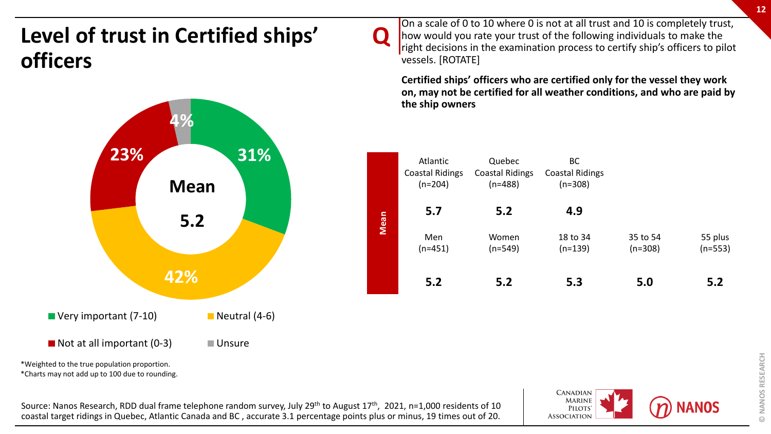## **Level of trust in Certified ships' officers**



\*Charts may not add up to 100 due to rounding.

Source: Nanos Research, RDD dual frame telephone random survey, July 29<sup>th</sup> to August 17<sup>th</sup>, 2021, n=1,000 residents of 10 coastal target ridings in Quebec, Atlantic Canada and BC , accurate 3.1 percentage points plus or minus, 19 times out of 20.

On a scale of 0 to 10 where 0 is not at all trust and 10 is completely trust, how would you rate your trust of the following individuals to make the right decisions in the examination process to certify ship's officers to pilot vessels. [ROTATE]

**Q**

**Certified ships' officers who are certified only for the vessel they work on, may not be certified for all weather conditions, and who are paid by the ship owners** 

|      | Atlantic<br><b>Coastal Ridings</b><br>$(n=204)$ | Quebec<br><b>Coastal Ridings</b><br>$(n=488)$ | BC<br><b>Coastal Ridings</b><br>$(n=308)$ |           |           |
|------|-------------------------------------------------|-----------------------------------------------|-------------------------------------------|-----------|-----------|
| Mean | 5.7                                             | 5.2                                           | 4.9                                       |           |           |
|      | Men                                             | Women                                         | 18 to 34                                  | 35 to 54  | 55 plus   |
|      | $(n=451)$                                       | $(n=549)$                                     | $(n=139)$                                 | $(n=308)$ | $(n=553)$ |
|      |                                                 |                                               |                                           |           |           |
|      | 5.2                                             | 5.2                                           | 5.3                                       | 5.0       | 5.2       |

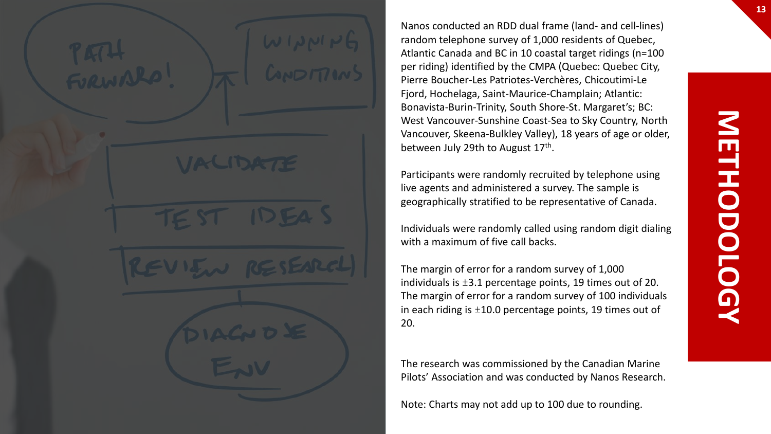Nanos conducted an RDD dual frame (land- and cell-lines) random telephone survey of 1,000 residents of Quebec, Atlantic Canada and BC in 10 coastal target ridings (n=100 per riding) identified by the CMPA (Quebec: Quebec City, Pierre Boucher-Les Patriotes-Verchères, Chicoutimi-Le Fjord, Hochelaga, Saint-Maurice-Champlain; Atlantic: Bonavista-Burin-Trinity, South Shore-St. Margaret's; BC: West Vancouver-Sunshine Coast-Sea to Sky Country, North Vancouver, Skeena-Bulkley Valley), 18 years of age or older, between July 29th to August 17<sup>th</sup>.

Participants were randomly recruited by telephone using live agents and administered a survey. The sample is geographically stratified to be representative of Canada.

Individuals were randomly called using random digit dialing with a maximum of five call backs.

The margin of error for a random survey of 1,000 individuals is  $\pm 3.1$  percentage points, 19 times out of 20. The margin of error for a random survey of 100 individuals in each riding is  $\pm 10.0$  percentage points, 19 times out of 20.

The research was commissioned by the Canadian Marine Pilots' Association and was conducted by Nanos Research.

Note: Charts may not add up to 100 due to rounding.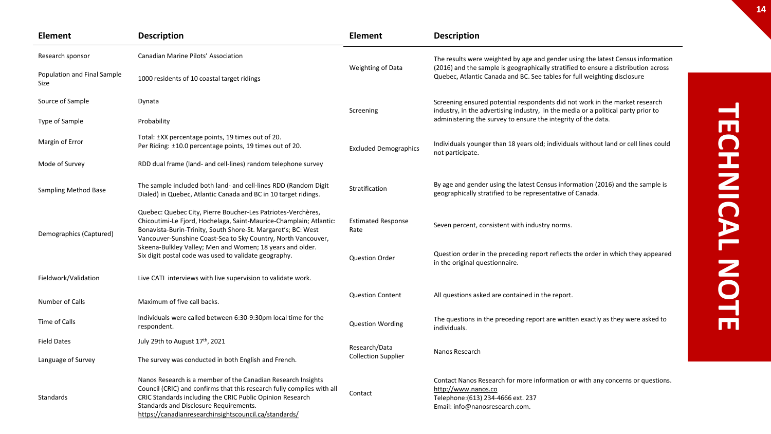| <b>Element</b>                      | <b>Description</b>                                                                                                                                                                                                                                                                                     | <b>Element</b>                    | <b>Description</b>                                                                                                                                                            |
|-------------------------------------|--------------------------------------------------------------------------------------------------------------------------------------------------------------------------------------------------------------------------------------------------------------------------------------------------------|-----------------------------------|-------------------------------------------------------------------------------------------------------------------------------------------------------------------------------|
| Research sponsor                    | Canadian Marine Pilots' Association                                                                                                                                                                                                                                                                    |                                   | The results were weighted by age and gender using the latest Census information                                                                                               |
| Population and Final Sample<br>Size | 1000 residents of 10 coastal target ridings                                                                                                                                                                                                                                                            | Weighting of Data                 | (2016) and the sample is geographically stratified to ensure a distribution across<br>Quebec, Atlantic Canada and BC. See tables for full weighting disclosure                |
| Source of Sample                    | Dynata                                                                                                                                                                                                                                                                                                 | Screening                         | Screening ensured potential respondents did not work in the market research<br>industry, in the advertising industry, in the media or a political party prior to              |
| Type of Sample                      | Probability                                                                                                                                                                                                                                                                                            |                                   | administering the survey to ensure the integrity of the data.                                                                                                                 |
| Margin of Error                     | Total: ±XX percentage points, 19 times out of 20.<br>Per Riding: ±10.0 percentage points, 19 times out of 20.                                                                                                                                                                                          | <b>Excluded Demographics</b>      | Individuals younger than 18 years old; individuals without land or cell lines could<br>not participate.                                                                       |
| Mode of Survey                      | RDD dual frame (land- and cell-lines) random telephone survey                                                                                                                                                                                                                                          |                                   |                                                                                                                                                                               |
| Sampling Method Base                | The sample included both land- and cell-lines RDD (Random Digit<br>Dialed) in Quebec, Atlantic Canada and BC in 10 target ridings.                                                                                                                                                                     | Stratification                    | By age and gender using the latest Census information (2016) and the sample is<br>geographically stratified to be representative of Canada.                                   |
| Demographics (Captured)             | Quebec: Quebec City, Pierre Boucher-Les Patriotes-Verchères,<br>Chicoutimi-Le Fjord, Hochelaga, Saint-Maurice-Champlain; Atlantic:<br>Bonavista-Burin-Trinity, South Shore-St. Margaret's; BC: West<br>Vancouver-Sunshine Coast-Sea to Sky Country, North Vancouver,                                   | <b>Estimated Response</b><br>Rate | Seven percent, consistent with industry norms.                                                                                                                                |
|                                     | Skeena-Bulkley Valley; Men and Women; 18 years and older.<br>Six digit postal code was used to validate geography.                                                                                                                                                                                     | <b>Question Order</b>             | Question order in the preceding report reflects the order in which they appeared<br>in the original questionnaire.                                                            |
| Fieldwork/Validation                | Live CATI interviews with live supervision to validate work.                                                                                                                                                                                                                                           |                                   |                                                                                                                                                                               |
| Number of Calls                     | Maximum of five call backs.                                                                                                                                                                                                                                                                            | <b>Question Content</b>           | All questions asked are contained in the report.                                                                                                                              |
| Time of Calls                       | Individuals were called between 6:30-9:30pm local time for the<br>respondent.                                                                                                                                                                                                                          | <b>Question Wording</b>           | The questions in the preceding report are written exactly as they were asked to<br>individuals.                                                                               |
| <b>Field Dates</b>                  | July 29th to August 17th, 2021                                                                                                                                                                                                                                                                         | Research/Data                     |                                                                                                                                                                               |
| Language of Survey                  | The survey was conducted in both English and French.                                                                                                                                                                                                                                                   | <b>Collection Supplier</b>        | Nanos Research                                                                                                                                                                |
| Standards                           | Nanos Research is a member of the Canadian Research Insights<br>Council (CRIC) and confirms that this research fully complies with all<br>CRIC Standards including the CRIC Public Opinion Research<br>Standards and Disclosure Requirements.<br>https://canadianresearchinsightscouncil.ca/standards/ | Contact                           | Contact Nanos Research for more information or with any concerns or questions.<br>http://www.nanos.co<br>Telephone: (613) 234-4666 ext. 237<br>Email: info@nanosresearch.com. |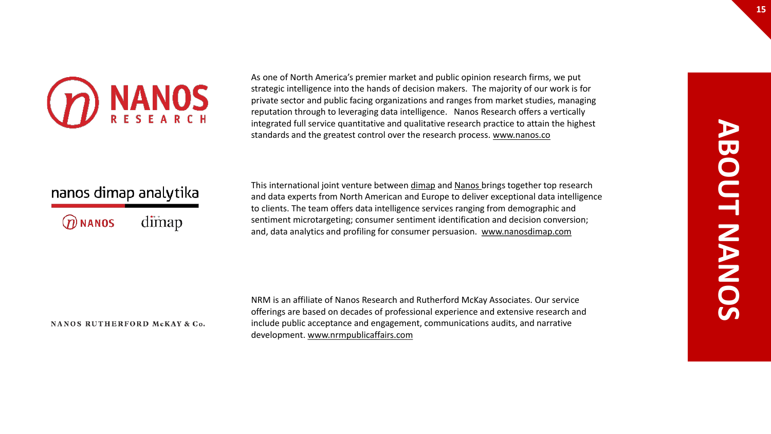

As one of North America's premier market and public opinion research firms, we put strategic intelligence into the hands of decision makers. The majority of our work is for private sector and public facing organizations and ranges from market studies, managing reputation through to leveraging data intelligence. Nanos Research offers a vertically integrated full service quantitative and qualitative research practice to attain the highest standards and the greatest control over the research process. [www.nanos.co](http://www.nanos.co/)

### nanos dimap analytika

dimap  $@$  NANOS

This international joint venture between [dimap](http://dimap.de/en/HOMEen) and [Nanos](http://nanos.co/) brings together top research and data experts from North American and Europe to deliver exceptional data intelligence to clients. The team offers data intelligence services ranging from demographic and sentiment microtargeting; consumer sentiment identification and decision conversion; and, data analytics and profiling for consumer persuasion. [www.nanosdimap.com](http://www.nanosdimap.com/)

#### NANOS RUTHERFORD McKAY & Co.

NRM is an affiliate of Nanos Research and Rutherford McKay Associates. Our service offerings are based on decades of professional experience and extensive research and include public acceptance and engagement, communications audits, and narrative development. [www.nrmpublicaffairs.com](http://nrmpublicaffairs.com/index.html)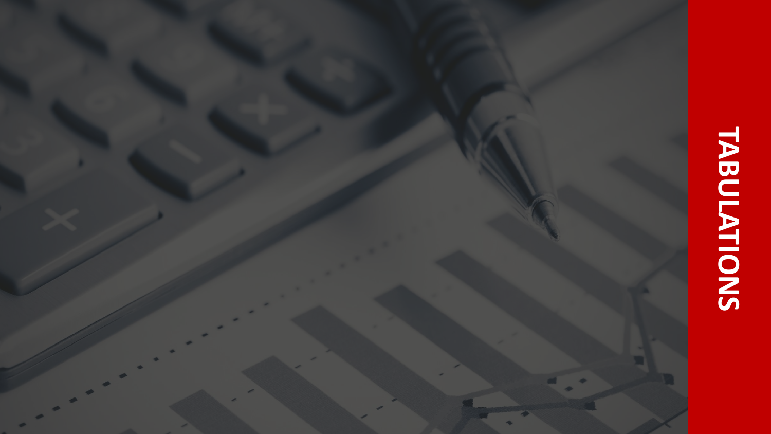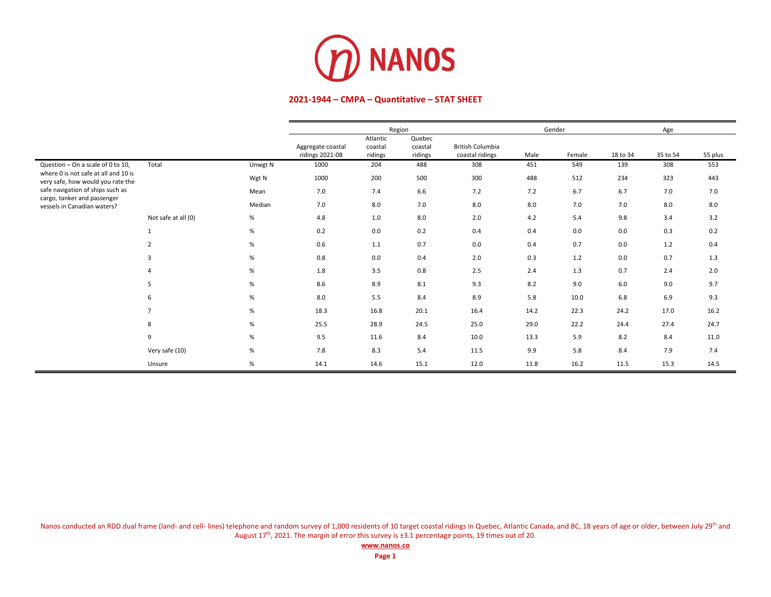

|                                                                           |                     |         |                                      |                                | Region                       |                                            | Gender |        |          | Age      |         |
|---------------------------------------------------------------------------|---------------------|---------|--------------------------------------|--------------------------------|------------------------------|--------------------------------------------|--------|--------|----------|----------|---------|
|                                                                           |                     |         | Aggregate coastal<br>ridings 2021-08 | Atlantic<br>coastal<br>ridings | Quebec<br>coastal<br>ridings | <b>British Columbia</b><br>coastal ridings | Male   | Female | 18 to 34 | 35 to 54 | 55 plus |
| Question - On a scale of 0 to 10,                                         | Total               | Unwgt N | 1000                                 | 204                            | 488                          | 308                                        | 451    | 549    | 139      | 308      | 553     |
| where 0 is not safe at all and 10 is<br>very safe, how would you rate the |                     | Wgt N   | 1000                                 | 200                            | 500                          | 300                                        | 488    | 512    | 234      | 323      | 443     |
| safe navigation of ships such as                                          |                     | Mean    | 7.0                                  | 7.4                            | 6.6                          | 7.2                                        | 7.2    | 6.7    | 6.7      | 7.0      | 7.0     |
| cargo, tanker and passenger<br>vessels in Canadian waters?                |                     | Median  | 7.0                                  | 8.0                            | 7.0                          | 8.0                                        | 8.0    | 7.0    | 7.0      | 8.0      | 8.0     |
|                                                                           | Not safe at all (0) | %       | 4.8                                  | 1.0                            | 8.0                          | 2.0                                        | 4.2    | 5.4    | 9.8      | 3.4      | 3.2     |
|                                                                           | 1                   | %       | 0.2                                  | 0.0                            | 0.2                          | 0.4                                        | 0.4    | 0.0    | 0.0      | 0.3      | 0.2     |
|                                                                           | $\overline{2}$      | %       | 0.6                                  | $1.1\,$                        | 0.7                          | 0.0                                        | 0.4    | 0.7    | 0.0      | 1.2      | 0.4     |
|                                                                           | 3                   | %       | 0.8                                  | 0.0                            | 0.4                          | 2.0                                        | 0.3    | 1.2    | 0.0      | 0.7      | 1.3     |
|                                                                           | 4                   | %       | 1.8                                  | 3.5                            | 0.8                          | 2.5                                        | 2.4    | 1.3    | 0.7      | 2.4      | 2.0     |
|                                                                           | 5                   | %       | 8.6                                  | 8.9                            | 8.1                          | 9.3                                        | 8.2    | 9.0    | 6.0      | 9.0      | 9.7     |
|                                                                           | 6                   | %       | 8.0                                  | 5.5                            | 8.4                          | 8.9                                        | 5.8    | 10.0   | 6.8      | 6.9      | 9.3     |
|                                                                           | $\overline{7}$      | %       | 18.3                                 | 16.8                           | 20.1                         | 16.4                                       | 14.2   | 22.3   | 24.2     | 17.0     | 16.2    |
|                                                                           | 8                   | %       | 25.5                                 | 28.9                           | 24.5                         | 25.0                                       | 29.0   | 22.2   | 24.4     | 27.4     | 24.7    |
|                                                                           | 9                   | %       | 9.5                                  | 11.6                           | 8.4                          | 10.0                                       | 13.3   | 5.9    | 8.2      | 8.4      | 11.0    |
|                                                                           | Very safe (10)      | %       | 7.8                                  | 8.3                            | 5.4                          | 11.5                                       | 9.9    | 5.8    | 8.4      | 7.9      | 7.4     |
|                                                                           | Unsure              | %       | 14.1                                 | 14.6                           | 15.1                         | 12.0                                       | 11.8   | 16.2   | 11.5     | 15.3     | 14.5    |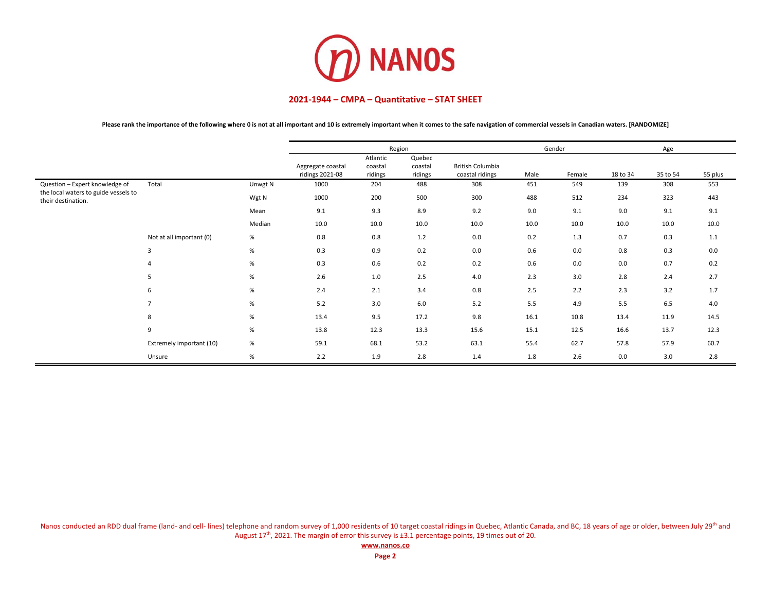

**Please rank the importance of the following where 0 is not at all important and 10 is extremely important when it comes to the safe navigation of commercial vessels in Canadian waters. [RANDOMIZE]**

|                                                            |                          |         |                                      | Region                         |                              |                                     | Gender |        |          | Age      |         |
|------------------------------------------------------------|--------------------------|---------|--------------------------------------|--------------------------------|------------------------------|-------------------------------------|--------|--------|----------|----------|---------|
|                                                            |                          |         | Aggregate coastal<br>ridings 2021-08 | Atlantic<br>coastal<br>ridings | Quebec<br>coastal<br>ridings | British Columbia<br>coastal ridings | Male   | Female | 18 to 34 | 35 to 54 | 55 plus |
| Question - Expert knowledge of                             | Total                    | Unwgt N | 1000                                 | 204                            | 488                          | 308                                 | 451    | 549    | 139      | 308      | 553     |
| the local waters to guide vessels to<br>their destination. |                          | Wgt N   | 1000                                 | 200                            | 500                          | 300                                 | 488    | 512    | 234      | 323      | 443     |
|                                                            |                          | Mean    | 9.1                                  | 9.3                            | 8.9                          | 9.2                                 | 9.0    | 9.1    | 9.0      | 9.1      | 9.1     |
|                                                            |                          | Median  | 10.0                                 | 10.0                           | 10.0                         | 10.0                                | 10.0   | 10.0   | 10.0     | 10.0     | 10.0    |
|                                                            | Not at all important (0) | %       | 0.8                                  | 0.8                            | 1.2                          | 0.0                                 | 0.2    | 1.3    | 0.7      | 0.3      | 1.1     |
|                                                            | 3                        | %       | 0.3                                  | 0.9                            | 0.2                          | 0.0                                 | 0.6    | 0.0    | 0.8      | 0.3      | 0.0     |
|                                                            |                          | %       | 0.3                                  | 0.6                            | 0.2                          | 0.2                                 | 0.6    | 0.0    | 0.0      | 0.7      | 0.2     |
|                                                            | 5                        | %       | 2.6                                  | 1.0                            | 2.5                          | 4.0                                 | 2.3    | 3.0    | 2.8      | 2.4      | 2.7     |
|                                                            | 6                        | %       | 2.4                                  | 2.1                            | 3.4                          | 0.8                                 | 2.5    | 2.2    | 2.3      | 3.2      | 1.7     |
|                                                            |                          | %       | 5.2                                  | 3.0                            | 6.0                          | 5.2                                 | 5.5    | 4.9    | 5.5      | 6.5      | 4.0     |
|                                                            | 8                        | %       | 13.4                                 | 9.5                            | 17.2                         | 9.8                                 | 16.1   | 10.8   | 13.4     | 11.9     | 14.5    |
|                                                            | 9                        | %       | 13.8                                 | 12.3                           | 13.3                         | 15.6                                | 15.1   | 12.5   | 16.6     | 13.7     | 12.3    |
|                                                            | Extremely important (10) | %       | 59.1                                 | 68.1                           | 53.2                         | 63.1                                | 55.4   | 62.7   | 57.8     | 57.9     | 60.7    |
|                                                            | Unsure                   | %       | 2.2                                  | 1.9                            | 2.8                          | 1.4                                 | 1.8    | 2.6    | 0.0      | 3.0      | 2.8     |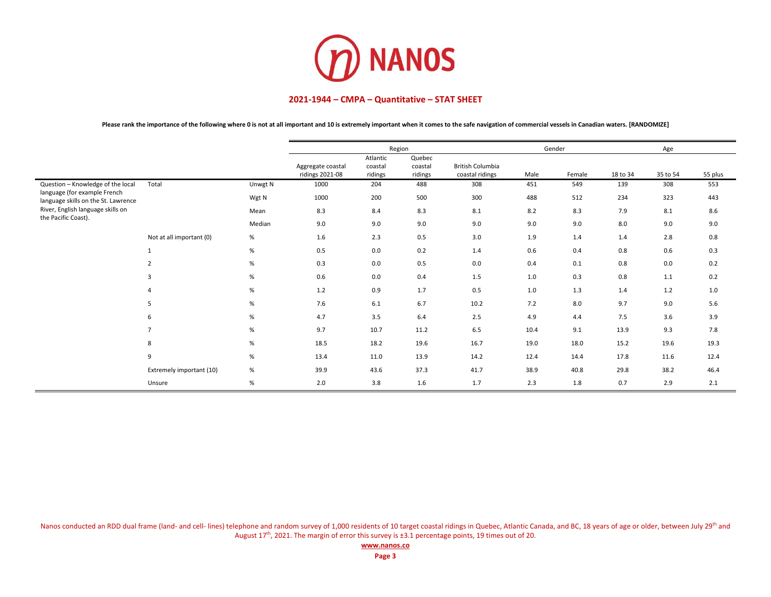

**Please rank the importance of the following where 0 is not at all important and 10 is extremely important when it comes to the safe navigation of commercial vessels in Canadian waters. [RANDOMIZE]**

|                                                                     |                          |         |                                      |                                | Region                       |                                            |      | Gender |          | Age      |         |
|---------------------------------------------------------------------|--------------------------|---------|--------------------------------------|--------------------------------|------------------------------|--------------------------------------------|------|--------|----------|----------|---------|
|                                                                     |                          |         | Aggregate coastal<br>ridings 2021-08 | Atlantic<br>coastal<br>ridings | Quebec<br>coastal<br>ridings | <b>British Columbia</b><br>coastal ridings | Male | Female | 18 to 34 | 35 to 54 | 55 plus |
| Question - Knowledge of the local                                   | Total                    | Unwgt N | 1000                                 | 204                            | 488                          | 308                                        | 451  | 549    | 139      | 308      | 553     |
| language (for example French<br>language skills on the St. Lawrence |                          | Wgt N   | 1000                                 | 200                            | 500                          | 300                                        | 488  | 512    | 234      | 323      | 443     |
| River, English language skills on<br>the Pacific Coast).            |                          | Mean    | 8.3                                  | 8.4                            | 8.3                          | 8.1                                        | 8.2  | 8.3    | 7.9      | 8.1      | 8.6     |
|                                                                     |                          | Median  | 9.0                                  | 9.0                            | 9.0                          | 9.0                                        | 9.0  | 9.0    | 8.0      | 9.0      | 9.0     |
|                                                                     | Not at all important (0) | %       | 1.6                                  | 2.3                            | 0.5                          | 3.0                                        | 1.9  | 1.4    | 1.4      | 2.8      | 0.8     |
|                                                                     |                          | %       | 0.5                                  | 0.0                            | 0.2                          | 1.4                                        | 0.6  | 0.4    | 0.8      | 0.6      | 0.3     |
|                                                                     | $\overline{2}$           | %       | 0.3                                  | 0.0                            | 0.5                          | 0.0                                        | 0.4  | 0.1    | 0.8      | 0.0      | 0.2     |
|                                                                     | 3                        | %       | 0.6                                  | 0.0                            | 0.4                          | 1.5                                        | 1.0  | 0.3    | 0.8      | 1.1      | 0.2     |
|                                                                     |                          | $\%$    | 1.2                                  | 0.9                            | 1.7                          | 0.5                                        | 1.0  | 1.3    | 1.4      | 1.2      | 1.0     |
|                                                                     | 5                        | %       | 7.6                                  | 6.1                            | 6.7                          | 10.2                                       | 7.2  | 8.0    | 9.7      | 9.0      | 5.6     |
|                                                                     | 6                        | %       | 4.7                                  | 3.5                            | 6.4                          | 2.5                                        | 4.9  | 4.4    | 7.5      | 3.6      | 3.9     |
|                                                                     | $\overline{7}$           | %       | 9.7                                  | 10.7                           | 11.2                         | 6.5                                        | 10.4 | 9.1    | 13.9     | 9.3      | 7.8     |
|                                                                     | 8                        | %       | 18.5                                 | 18.2                           | 19.6                         | 16.7                                       | 19.0 | 18.0   | 15.2     | 19.6     | 19.3    |
|                                                                     | 9                        | $\%$    | 13.4                                 | 11.0                           | 13.9                         | 14.2                                       | 12.4 | 14.4   | 17.8     | 11.6     | 12.4    |
|                                                                     | Extremely important (10) | %       | 39.9                                 | 43.6                           | 37.3                         | 41.7                                       | 38.9 | 40.8   | 29.8     | 38.2     | 46.4    |
|                                                                     | Unsure                   | $\%$    | 2.0                                  | 3.8                            | 1.6                          | 1.7                                        | 2.3  | 1.8    | 0.7      | 2.9      | 2.1     |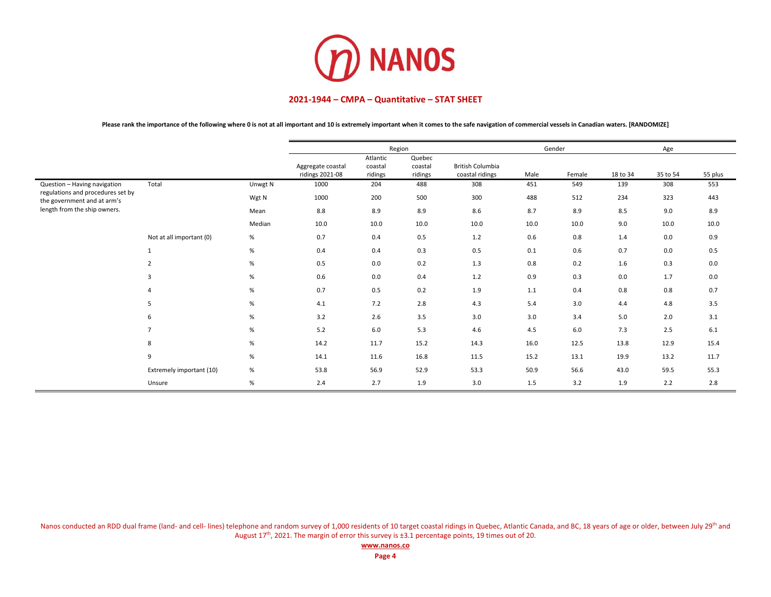

**Please rank the importance of the following where 0 is not at all important and 10 is extremely important when it comes to the safe navigation of commercial vessels in Canadian waters. [RANDOMIZE]**

|                                                                  |                          |         |                                      |                                | Region                       |                                            |      | Gender |          | Age      |         |
|------------------------------------------------------------------|--------------------------|---------|--------------------------------------|--------------------------------|------------------------------|--------------------------------------------|------|--------|----------|----------|---------|
|                                                                  |                          |         | Aggregate coastal<br>ridings 2021-08 | Atlantic<br>coastal<br>ridings | Quebec<br>coastal<br>ridings | <b>British Columbia</b><br>coastal ridings | Male | Female | 18 to 34 | 35 to 54 | 55 plus |
| Question - Having navigation                                     | Total                    | Unwgt N | 1000                                 | 204                            | 488                          | 308                                        | 451  | 549    | 139      | 308      | 553     |
| regulations and procedures set by<br>the government and at arm's |                          | Wgt N   | 1000                                 | 200                            | 500                          | 300                                        | 488  | 512    | 234      | 323      | 443     |
| length from the ship owners.                                     |                          | Mean    | 8.8                                  | 8.9                            | 8.9                          | 8.6                                        | 8.7  | 8.9    | 8.5      | 9.0      | 8.9     |
|                                                                  |                          | Median  | 10.0                                 | 10.0                           | 10.0                         | 10.0                                       | 10.0 | 10.0   | 9.0      | 10.0     | 10.0    |
|                                                                  | Not at all important (0) | %       | 0.7                                  | 0.4                            | 0.5                          | 1.2                                        | 0.6  | 0.8    | 1.4      | 0.0      | 0.9     |
|                                                                  | 1                        | %       | 0.4                                  | 0.4                            | 0.3                          | 0.5                                        | 0.1  | 0.6    | 0.7      | 0.0      | 0.5     |
|                                                                  | $\overline{2}$           | %       | 0.5                                  | 0.0                            | 0.2                          | 1.3                                        | 0.8  | 0.2    | 1.6      | 0.3      | 0.0     |
|                                                                  | 3                        | %       | 0.6                                  | 0.0                            | 0.4                          | 1.2                                        | 0.9  | 0.3    | 0.0      | 1.7      | 0.0     |
|                                                                  |                          | %       | 0.7                                  | 0.5                            | 0.2                          | 1.9                                        | 1.1  | 0.4    | 0.8      | 0.8      | 0.7     |
|                                                                  | 5                        | %       | 4.1                                  | 7.2                            | 2.8                          | 4.3                                        | 5.4  | 3.0    | 4.4      | 4.8      | 3.5     |
|                                                                  | 6                        | %       | 3.2                                  | 2.6                            | 3.5                          | 3.0                                        | 3.0  | 3.4    | 5.0      | 2.0      | 3.1     |
|                                                                  | $\overline{7}$           | %       | 5.2                                  | 6.0                            | 5.3                          | 4.6                                        | 4.5  | 6.0    | 7.3      | 2.5      | 6.1     |
|                                                                  | 8                        | %       | 14.2                                 | 11.7                           | 15.2                         | 14.3                                       | 16.0 | 12.5   | 13.8     | 12.9     | 15.4    |
|                                                                  | 9                        | %       | 14.1                                 | 11.6                           | 16.8                         | 11.5                                       | 15.2 | 13.1   | 19.9     | 13.2     | 11.7    |
|                                                                  | Extremely important (10) | %       | 53.8                                 | 56.9                           | 52.9                         | 53.3                                       | 50.9 | 56.6   | 43.0     | 59.5     | 55.3    |
|                                                                  | Unsure                   | %       | 2.4                                  | 2.7                            | 1.9                          | 3.0                                        | 1.5  | 3.2    | 1.9      | 2.2      | 2.8     |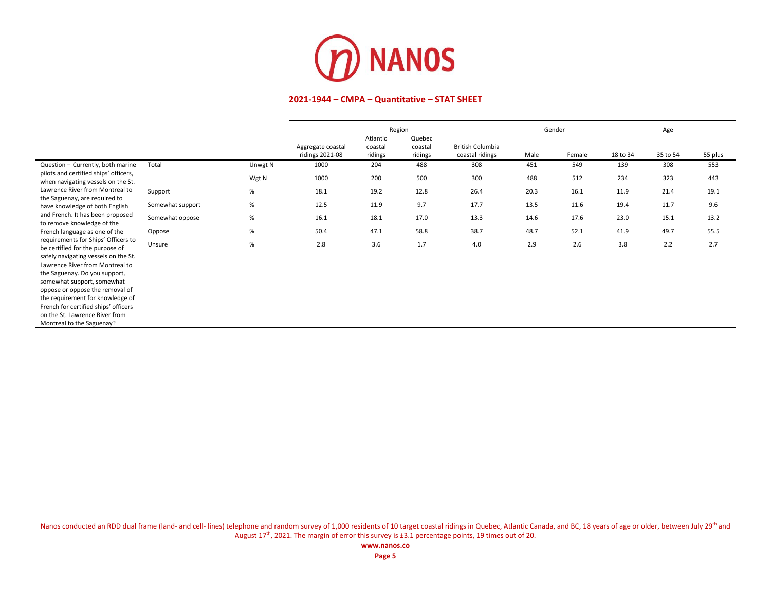

|                                                                                                                                                                                                                                                                                                                                                                                                |                  |         | Region                               |                                |                              |                                            | Gender |        |          | Age      |         |
|------------------------------------------------------------------------------------------------------------------------------------------------------------------------------------------------------------------------------------------------------------------------------------------------------------------------------------------------------------------------------------------------|------------------|---------|--------------------------------------|--------------------------------|------------------------------|--------------------------------------------|--------|--------|----------|----------|---------|
|                                                                                                                                                                                                                                                                                                                                                                                                |                  |         | Aggregate coastal<br>ridings 2021-08 | Atlantic<br>coastal<br>ridings | Quebec<br>coastal<br>ridings | <b>British Columbia</b><br>coastal ridings | Male   | Female | 18 to 34 | 35 to 54 | 55 plus |
| Question - Currently, both marine                                                                                                                                                                                                                                                                                                                                                              | Total            | Unwgt N | 1000                                 | 204                            | 488                          | 308                                        | 451    | 549    | 139      | 308      | 553     |
| pilots and certified ships' officers,<br>when navigating vessels on the St.                                                                                                                                                                                                                                                                                                                    |                  | Wgt N   | 1000                                 | 200                            | 500                          | 300                                        | 488    | 512    | 234      | 323      | 443     |
| Lawrence River from Montreal to                                                                                                                                                                                                                                                                                                                                                                | Support          | $\%$    | 18.1                                 | 19.2                           | 12.8                         | 26.4                                       | 20.3   | 16.1   | 11.9     | 21.4     | 19.1    |
| the Saguenay, are required to<br>have knowledge of both English                                                                                                                                                                                                                                                                                                                                | Somewhat support | %       | 12.5                                 | 11.9                           | 9.7                          | 17.7                                       | 13.5   | 11.6   | 19.4     | 11.7     | 9.6     |
| and French. It has been proposed<br>to remove knowledge of the                                                                                                                                                                                                                                                                                                                                 | Somewhat oppose  | $\%$    | 16.1                                 | 18.1                           | 17.0                         | 13.3                                       | 14.6   | 17.6   | 23.0     | 15.1     | 13.2    |
| French language as one of the                                                                                                                                                                                                                                                                                                                                                                  | Oppose           | %       | 50.4                                 | 47.1                           | 58.8                         | 38.7                                       | 48.7   | 52.1   | 41.9     | 49.7     | 55.5    |
| requirements for Ships' Officers to<br>be certified for the purpose of<br>safely navigating vessels on the St.<br>Lawrence River from Montreal to<br>the Saguenay. Do you support,<br>somewhat support, somewhat<br>oppose or oppose the removal of<br>the requirement for knowledge of<br>French for certified ships' officers<br>on the St. Lawrence River from<br>Montreal to the Saguenay? | Unsure           | $\%$    | 2.8                                  | 3.6                            | 1.7                          | 4.0                                        | 2.9    | 2.6    | 3.8      | 2.2      | 2.7     |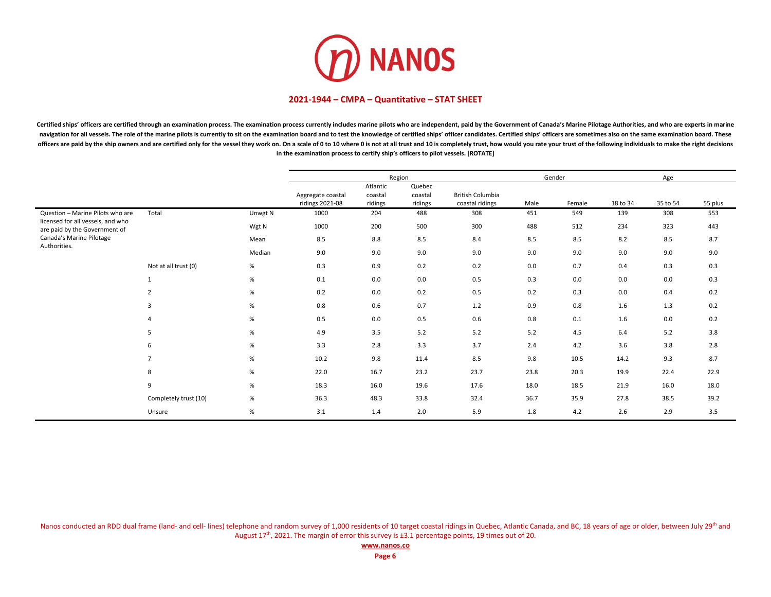

Certified ships' officers are certified through an examination process. The examination process currently includes marine pilots who are independent, paid by the Government of Canada's Marine Pilotage Authorities, and who navigation for all vessels. The role of the marine pilots is currently to sit on the examination board and to test the knowledge of certified ships' officer candidates. Certified ships' officers are sometimes also on the s officers are paid by the ship owners and are certified only for the vessel they work on. On a scale of 0 to 10 where 0 is not at all trust and 10 is completely trust, how would you rate your trust of the following individu **in the examination process to certify ship's officers to pilot vessels. [ROTATE]**

|                                                                    |                       |         |                                      |                                | Region                       |                                            |      | Gender |          | Age      |         |
|--------------------------------------------------------------------|-----------------------|---------|--------------------------------------|--------------------------------|------------------------------|--------------------------------------------|------|--------|----------|----------|---------|
|                                                                    |                       |         | Aggregate coastal<br>ridings 2021-08 | Atlantic<br>coastal<br>ridings | Quebec<br>coastal<br>ridings | <b>British Columbia</b><br>coastal ridings | Male | Female | 18 to 34 | 35 to 54 | 55 plus |
| Question - Marine Pilots who are                                   | Total                 | Unwgt N | 1000                                 | 204                            | 488                          | 308                                        | 451  | 549    | 139      | 308      | 553     |
| licensed for all vessels, and who<br>are paid by the Government of |                       | Wgt N   | 1000                                 | 200                            | 500                          | 300                                        | 488  | 512    | 234      | 323      | 443     |
| Canada's Marine Pilotage<br>Authorities.                           |                       | Mean    | 8.5                                  | 8.8                            | 8.5                          | 8.4                                        | 8.5  | 8.5    | 8.2      | 8.5      | 8.7     |
|                                                                    |                       | Median  | 9.0                                  | 9.0                            | 9.0                          | 9.0                                        | 9.0  | 9.0    | 9.0      | 9.0      | 9.0     |
|                                                                    | Not at all trust (0)  | %       | 0.3                                  | 0.9                            | 0.2                          | 0.2                                        | 0.0  | 0.7    | 0.4      | 0.3      | 0.3     |
|                                                                    | $\mathbf{1}$          | %       | 0.1                                  | 0.0                            | 0.0                          | 0.5                                        | 0.3  | 0.0    | 0.0      | 0.0      | 0.3     |
|                                                                    | $\overline{2}$        | %       | 0.2                                  | 0.0                            | 0.2                          | 0.5                                        | 0.2  | 0.3    | 0.0      | 0.4      | 0.2     |
|                                                                    | 3                     | %       | 0.8                                  | 0.6                            | 0.7                          | 1.2                                        | 0.9  | 0.8    | 1.6      | 1.3      | 0.2     |
|                                                                    |                       | %       | 0.5                                  | 0.0                            | 0.5                          | 0.6                                        | 0.8  | 0.1    | 1.6      | 0.0      | 0.2     |
|                                                                    | 5                     | %       | 4.9                                  | 3.5                            | 5.2                          | 5.2                                        | 5.2  | 4.5    | 6.4      | 5.2      | 3.8     |
|                                                                    | 6                     | %       | 3.3                                  | 2.8                            | 3.3                          | 3.7                                        | 2.4  | 4.2    | 3.6      | 3.8      | 2.8     |
|                                                                    | $\overline{7}$        | %       | 10.2                                 | 9.8                            | 11.4                         | 8.5                                        | 9.8  | 10.5   | 14.2     | 9.3      | 8.7     |
|                                                                    | 8                     | %       | 22.0                                 | 16.7                           | 23.2                         | 23.7                                       | 23.8 | 20.3   | 19.9     | 22.4     | 22.9    |
|                                                                    | 9                     | $\%$    | 18.3                                 | 16.0                           | 19.6                         | 17.6                                       | 18.0 | 18.5   | 21.9     | 16.0     | 18.0    |
|                                                                    | Completely trust (10) | $\%$    | 36.3                                 | 48.3                           | 33.8                         | 32.4                                       | 36.7 | 35.9   | 27.8     | 38.5     | 39.2    |
|                                                                    | Unsure                | %       | 3.1                                  | 1.4                            | 2.0                          | 5.9                                        | 1.8  | 4.2    | 2.6      | 2.9      | 3.5     |